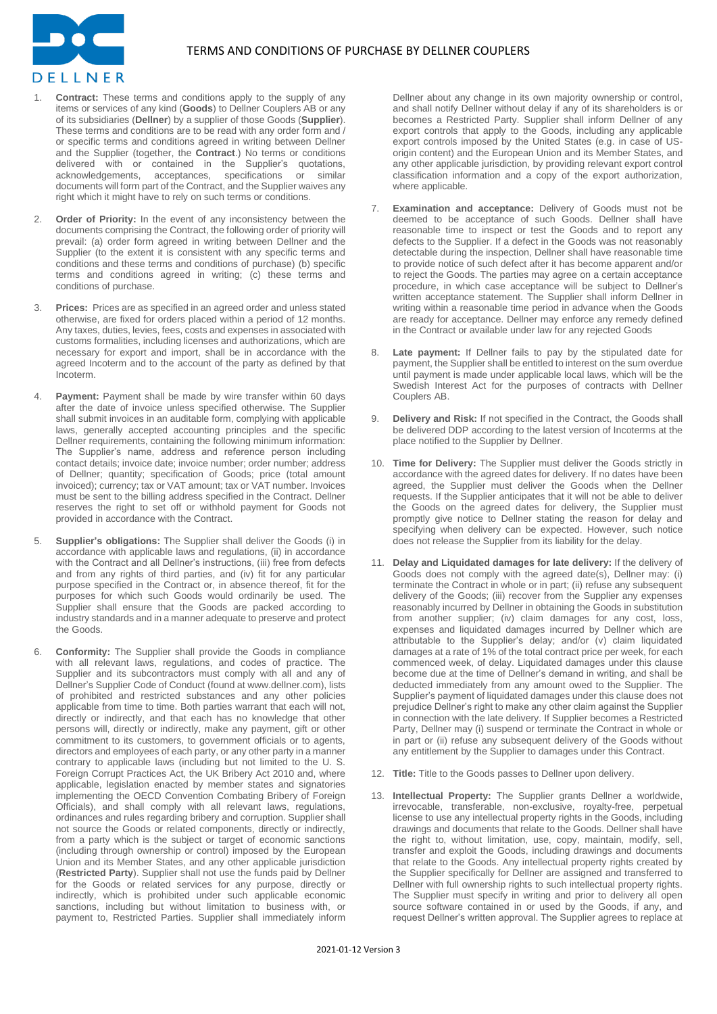

- **Contract:** These terms and conditions apply to the supply of any items or services of any kind (**Goods**) to Dellner Couplers AB or any of its subsidiaries (**Dellner**) by a supplier of those Goods (**Supplier**). These terms and conditions are to be read with any order form and / or specific terms and conditions agreed in writing between Dellner and the Supplier (together, the **Contract**.) No terms or conditions delivered with or contained in the Supplier's quotations, acknowledgements, acceptances, specifications or similar acknowledgements, acceptances, specifications or similar documents will form part of the Contract, and the Supplier waives any right which it might have to rely on such terms or conditions.
- 2. **Order of Priority:** In the event of any inconsistency between the documents comprising the Contract, the following order of priority will prevail: (a) order form agreed in writing between Dellner and the Supplier (to the extent it is consistent with any specific terms and conditions and these terms and conditions of purchase) (b) specific terms and conditions agreed in writing; (c) these terms and conditions of purchase.
- 3. **Prices:** Prices are as specified in an agreed order and unless stated otherwise, are fixed for orders placed within a period of 12 months. Any taxes, duties, levies, fees, costs and expenses in associated with customs formalities, including licenses and authorizations, which are necessary for export and import, shall be in accordance with the agreed Incoterm and to the account of the party as defined by that Incoterm.
- 4. **Payment:** Payment shall be made by wire transfer within 60 days after the date of invoice unless specified otherwise. The Supplier shall submit invoices in an auditable form, complying with applicable laws, generally accepted accounting principles and the specific Dellner requirements, containing the following minimum information: The Supplier's name, address and reference person including contact details; invoice date; invoice number; order number; address of Dellner; quantity; specification of Goods; price (total amount invoiced); currency; tax or VAT amount; tax or VAT number. Invoices must be sent to the billing address specified in the Contract. Dellner reserves the right to set off or withhold payment for Goods not provided in accordance with the Contract.
- 5. **Supplier's obligations:** The Supplier shall deliver the Goods (i) in accordance with applicable laws and regulations, (ii) in accordance with the Contract and all Dellner's instructions, (iii) free from defects and from any rights of third parties, and (iv) fit for any particular purpose specified in the Contract or, in absence thereof, fit for the purposes for which such Goods would ordinarily be used. The Supplier shall ensure that the Goods are packed according to industry standards and in a manner adequate to preserve and protect the Goods.
- 6. **Conformity:** The Supplier shall provide the Goods in compliance with all relevant laws, regulations, and codes of practice. The Supplier and its subcontractors must comply with all and any of Dellner's Supplier Code of Conduct (found at www.dellner.com), lists of prohibited and restricted substances and any other policies applicable from time to time. Both parties warrant that each will not, directly or indirectly, and that each has no knowledge that other persons will, directly or indirectly, make any payment, gift or other commitment to its customers, to government officials or to agents, directors and employees of each party, or any other party in a manner contrary to applicable laws (including but not limited to the U. S. Foreign Corrupt Practices Act, the UK Bribery Act 2010 and, where applicable, legislation enacted by member states and signatories implementing the OECD Convention Combating Bribery of Foreign Officials), and shall comply with all relevant laws, regulations, ordinances and rules regarding bribery and corruption. Supplier shall not source the Goods or related components, directly or indirectly, from a party which is the subject or target of economic sanctions (including through ownership or control) imposed by the European Union and its Member States, and any other applicable jurisdiction (**Restricted Party**). Supplier shall not use the funds paid by Dellner for the Goods or related services for any purpose, directly or indirectly, which is prohibited under such applicable economic sanctions, including but without limitation to business with, or payment to, Restricted Parties. Supplier shall immediately inform

Dellner about any change in its own majority ownership or control, and shall notify Dellner without delay if any of its shareholders is or becomes a Restricted Party. Supplier shall inform Dellner of any export controls that apply to the Goods, including any applicable export controls imposed by the United States (e.g. in case of USorigin content) and the European Union and its Member States, and any other applicable jurisdiction, by providing relevant export control classification information and a copy of the export authorization, where applicable.

- **Examination and acceptance:** Delivery of Goods must not be deemed to be acceptance of such Goods. Dellner shall have reasonable time to inspect or test the Goods and to report any defects to the Supplier. If a defect in the Goods was not reasonably detectable during the inspection, Dellner shall have reasonable time to provide notice of such defect after it has become apparent and/or to reject the Goods. The parties may agree on a certain acceptance procedure, in which case acceptance will be subject to Dellner's written acceptance statement. The Supplier shall inform Dellner in writing within a reasonable time period in advance when the Goods are ready for acceptance. Dellner may enforce any remedy defined in the Contract or available under law for any rejected Goods
- Late payment: If Dellner fails to pay by the stipulated date for payment, the Supplier shall be entitled to interest on the sum overdue until payment is made under applicable local laws, which will be the Swedish Interest Act for the purposes of contracts with Dellner Couplers AB.
- **Delivery and Risk:** If not specified in the Contract, the Goods shall be delivered DDP according to the latest version of Incoterms at the place notified to the Supplier by Dellner.
- 10. **Time for Delivery:** The Supplier must deliver the Goods strictly in accordance with the agreed dates for delivery. If no dates have been agreed, the Supplier must deliver the Goods when the Dellner requests. If the Supplier anticipates that it will not be able to deliver the Goods on the agreed dates for delivery, the Supplier must promptly give notice to Dellner stating the reason for delay and specifying when delivery can be expected. However, such notice does not release the Supplier from its liability for the delay.
- 11. **Delay and Liquidated damages for late delivery:** If the delivery of Goods does not comply with the agreed date(s), Dellner may: (i) terminate the Contract in whole or in part; (ii) refuse any subsequent delivery of the Goods; (iii) recover from the Supplier any expenses reasonably incurred by Dellner in obtaining the Goods in substitution from another supplier; (iv) claim damages for any cost, loss, expenses and liquidated damages incurred by Dellner which are attributable to the Supplier's delay; and/or (v) claim liquidated damages at a rate of 1% of the total contract price per week, for each commenced week, of delay. Liquidated damages under this clause become due at the time of Dellner's demand in writing, and shall be deducted immediately from any amount owed to the Supplier. The Supplier's payment of liquidated damages under this clause does not prejudice Dellner's right to make any other claim against the Supplier in connection with the late delivery. If Supplier becomes a Restricted Party, Dellner may (i) suspend or terminate the Contract in whole or in part or (ii) refuse any subsequent delivery of the Goods without any entitlement by the Supplier to damages under this Contract.
- 12. **Title:** Title to the Goods passes to Dellner upon delivery.
- 13. **Intellectual Property:** The Supplier grants Dellner a worldwide, irrevocable, transferable, non-exclusive, royalty-free, perpetual license to use any intellectual property rights in the Goods, including drawings and documents that relate to the Goods. Dellner shall have the right to, without limitation, use, copy, maintain, modify, sell, transfer and exploit the Goods, including drawings and documents that relate to the Goods. Any intellectual property rights created by the Supplier specifically for Dellner are assigned and transferred to Dellner with full ownership rights to such intellectual property rights. The Supplier must specify in writing and prior to delivery all open source software contained in or used by the Goods, if any, and request Dellner's written approval. The Supplier agrees to replace at